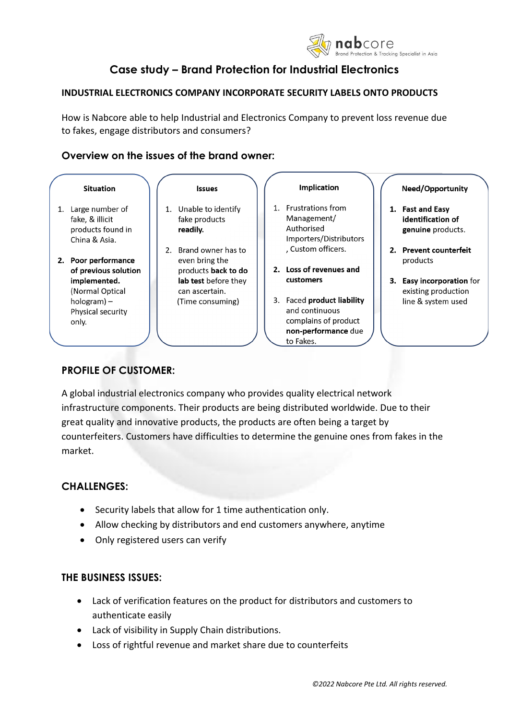

# **Case study – Brand Protection for Industrial Electronics**

### **INDUSTRIAL ELECTRONICS COMPANY INCORPORATE SECURITY LABELS ONTO PRODUCTS**

How is Nabcore able to help Industrial and Electronics Company to prevent loss revenue due to fakes, engage distributors and consumers?

## **Overview on the issues of the brand owner:**



## **PROFILE OF CUSTOMER:**

A global industrial electronics company who provides quality electrical network infrastructure components. Their products are being distributed worldwide. Due to their great quality and innovative products, the products are often being a target by counterfeiters. Customers have difficulties to determine the genuine ones from fakes in the market.

## **CHALLENGES:**

- Security labels that allow for 1 time authentication only.
- Allow checking by distributors and end customers anywhere, anytime
- Only registered users can verify

## **THE BUSINESS ISSUES:**

- Lack of verification features on the product for distributors and customers to authenticate easily
- Lack of visibility in Supply Chain distributions.
- Loss of rightful revenue and market share due to counterfeits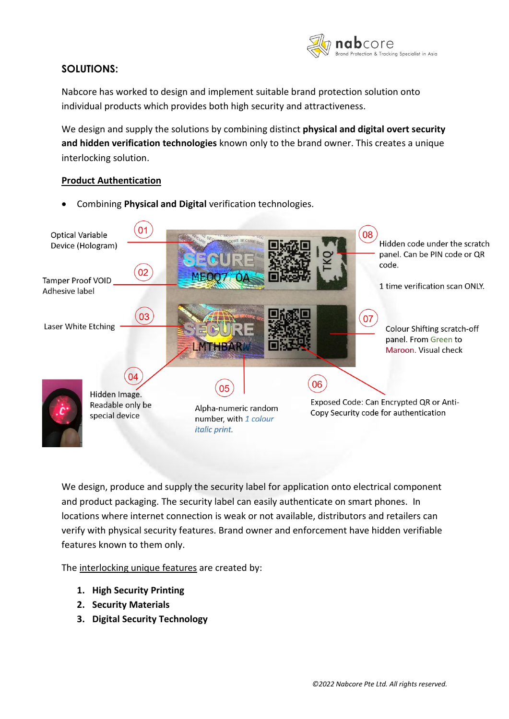

## **SOLUTIONS:**

Nabcore has worked to design and implement suitable brand protection solution onto individual products which provides both high security and attractiveness.

We design and supply the solutions by combining distinct **physical and digital overt security and hidden verification technologies** known only to the brand owner. This creates a unique interlocking solution.

### **Product Authentication**

- $0<sub>1</sub>$ 08 **Optical Variable** Hidden code under the scratch Device (Hologram) panel. Can be PIN code or QR code. 02 **Tamper Proof VOID** 1 time verification scan ONLY. Adhesive label 03 07 Laser White Etching Colour Shifting scratch-off panel. From Green to Maroon. Visual check 04 06 05 Hidden Image. Exposed Code: Can Encrypted QR or Anti-Readable only be Alpha-numeric random Copy Security code for authentication special device number, with 1 colour italic print.
- Combining **Physical and Digital** verification technologies.

We design, produce and supply the security label for application onto electrical component and product packaging. The security label can easily authenticate on smart phones. In locations where internet connection is weak or not available, distributors and retailers can verify with physical security features. Brand owner and enforcement have hidden verifiable features known to them only.

The interlocking unique features are created by:

- **1. High Security Printing**
- **2. Security Materials**
- **3. Digital Security Technology**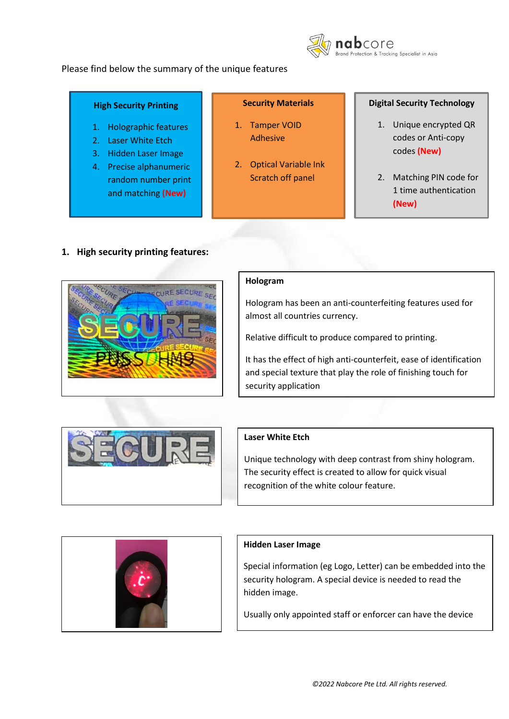



### **High Security Printing**

- 1. Holographic features
- 2. Laser White Etch
- 3. Hidden Laser Image
- 4. Precise alphanumeric random number print and matching **(New)**

### **Security Materials**

- 1. Tamper VOID Adhesive
- 2. Optical Variable Ink Scratch off panel

### **Digital Security Technology**

- 1. Unique encrypted QR codes or Anti-copy codes **(New)**
- 2. Matching PIN code for 1 time authentication **(New)**

## **1. High security printing features:**



### **Hologram**

Hologram has been an anti-counterfeiting features used for almost all countries currency.

Relative difficult to produce compared to printing.

It has the effect of high anti-counterfeit, ease of identification and special texture that play the role of finishing touch for security application



## **Laser White Etch**

Unique technology with deep contrast from shiny hologram. The security effect is created to allow for quick visual recognition of the white colour feature.



### **Hidden Laser Image**

Special information (eg Logo, Letter) can be embedded into the security hologram. A special device is needed to read the hidden image.

Usually only appointed staff or enforcer can have the device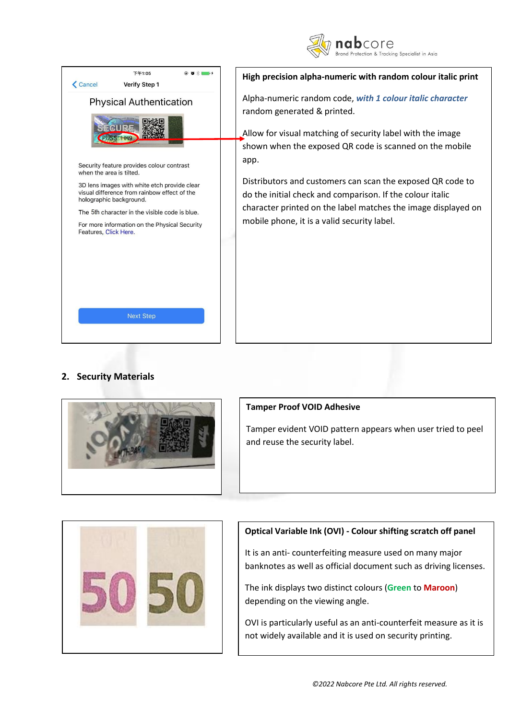



## **2. Security Materials**



### **Tamper Proof VOID Adhesive**

Tamper evident VOID pattern appears when user tried to peel and reuse the security label.



## **Optical Variable Ink (OVI) - Colour shifting scratch off panel**

It is an anti- counterfeiting measure used on many major banknotes as well as official document such as driving licenses.

The ink displays two distinct colours (**Green** to **Maroon**) depending on the viewing angle.

OVI is particularly useful as an anti-counterfeit measure as it is not widely available and it is used on security printing.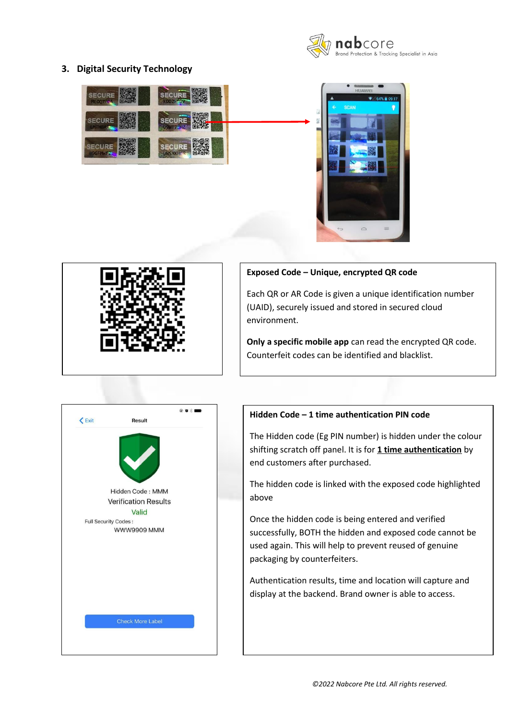

## **3. Digital Security Technology**







#### **Exposed Code – Unique, encrypted QR code**

Each QR or AR Code is given a unique identification number (UAID), securely issued and stored in secured cloud environment.

**Only a specific mobile app** can read the encrypted QR code. Counterfeit codes can be identified and blacklist.



## **Hidden Code – 1 time authentication PIN code**

The Hidden code (Eg PIN number) is hidden under the colour shifting scratch off panel. It is for **1 time authentication** by end customers after purchased.

The hidden code is linked with the exposed code highlighted above

Once the hidden code is being entered and verified successfully, BOTH the hidden and exposed code cannot be used again. This will help to prevent reused of genuine packaging by counterfeiters.

Authentication results, time and location will capture and display at the backend. Brand owner is able to access.